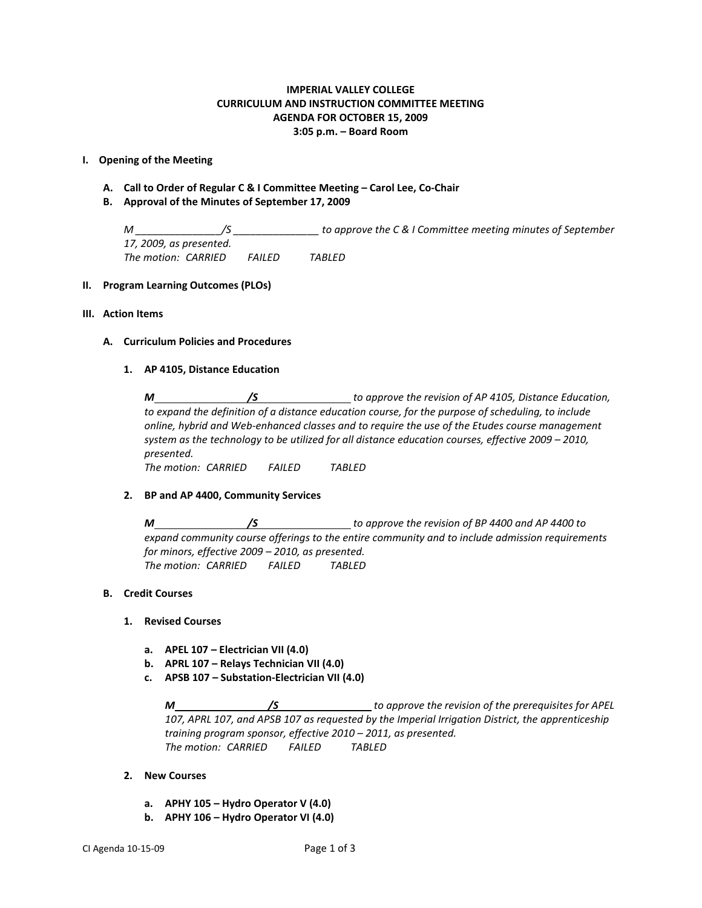## **IMPERIAL VALLEY COLLEGE CURRICULUM AND INSTRUCTION COMMITTEE MEETING AGENDA FOR OCTOBER 15, 2009 3:05 p.m. – Board Room**

### **I. Opening of the Meeting**

- **A. Call to Order of Regular C & I Committee Meeting – Carol Lee, Co-Chair**
- **B. Approval of the Minutes of September 17, 2009**

*M \_\_\_\_\_\_\_\_\_\_\_\_\_\_\_/S \_\_\_\_\_\_\_\_\_\_\_\_\_\_\_ to approve the C & I Committee meeting minutes of September 17, 2009, as presented. The motion: CARRIED FAILED TABLED*

### **II. Program Learning Outcomes (PLOs)**

### **III. Action Items**

### **A. Curriculum Policies and Procedures**

### **1. AP 4105, Distance Education**

*M /S to approve the revision of AP 4105, Distance Education, to expand the definition of a distance education course, for the purpose of scheduling, to include online, hybrid and Web-enhanced classes and to require the use of the Etudes course management system as the technology to be utilized for all distance education courses, effective 2009 – 2010, presented. The motion: CARRIED FAILED TABLED*

### **2. BP and AP 4400, Community Services**

*M /S to approve the revision of BP 4400 and AP 4400 to expand community course offerings to the entire community and to include admission requirements for minors, effective 2009 – 2010, as presented. The motion: CARRIED FAILED TABLED*

## **B. Credit Courses**

### **1. Revised Courses**

- **a. APEL 107 – Electrician VII (4.0)**
- **b. APRL 107 – Relays Technician VII (4.0)**
- **c. APSB 107 – Substation-Electrician VII (4.0)**

*M /S to approve the revision of the prerequisites for APEL 107, APRL 107, and APSB 107 as requested by the Imperial Irrigation District, the apprenticeship training program sponsor, effective 2010 – 2011, as presented. The motion: CARRIED FAILED TABLED*

### **2. New Courses**

- **a. APHY 105 – Hydro Operator V (4.0)**
- **b. APHY 106 – Hydro Operator VI (4.0)**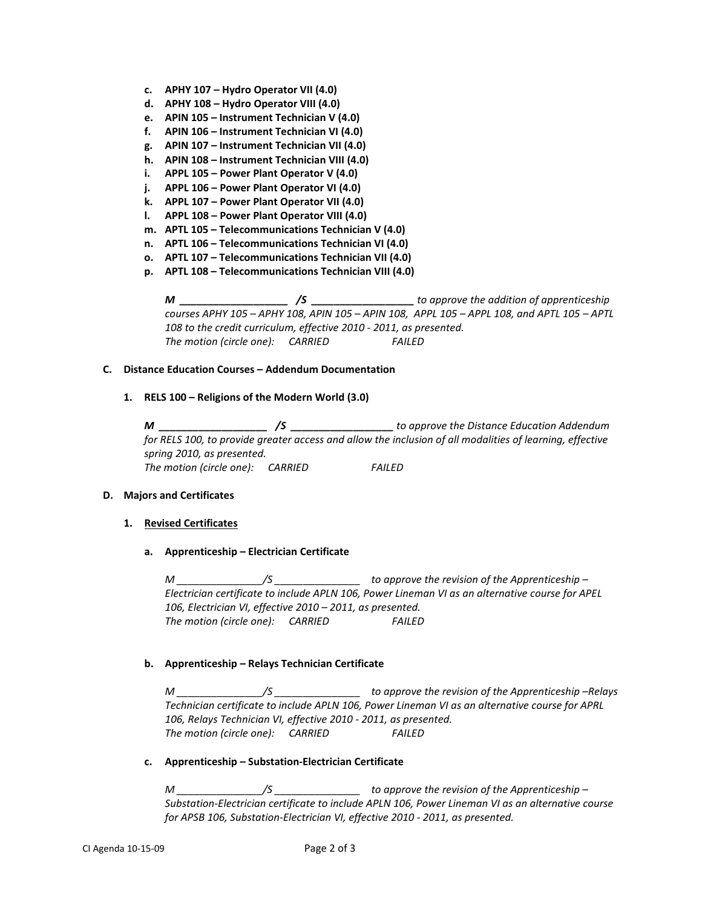- **c. APHY 107 – Hydro Operator VII (4.0)**
- **d. APHY 108 – Hydro Operator VIII (4.0)**
- **e. APIN 105 – Instrument Technician V (4.0)**
- **f. APIN 106 – Instrument Technician VI (4.0)**
- **g. APIN 107 – Instrument Technician VII (4.0)**
- **h. APIN 108 – Instrument Technician VIII (4.0)**
- **i. APPL 105 – Power Plant Operator V (4.0)**
- **j. APPL 106 – Power Plant Operator VI (4.0)**
- **k. APPL 107 – Power Plant Operator VII (4.0)**
- **l. APPL 108 – Power Plant Operator VIII (4.0)**
- **m. APTL 105 – Telecommunications Technician V (4.0)**
- **n. APTL 106 – Telecommunications Technician VI (4.0)**
- **o. APTL 107 – Telecommunications Technician VII (4.0)**
- **p. APTL 108 – Telecommunications Technician VIII (4.0)**

*M \_\_\_\_\_\_\_\_\_\_\_\_\_\_\_\_\_\_\_ /S \_\_\_\_\_\_\_\_\_\_\_\_\_\_\_\_\_\_ to approve the addition of apprenticeship courses APHY 105 – APHY 108, APIN 105 – APIN 108, APPL 105 – APPL 108, and APTL 105 – APTL 108 to the credit curriculum, effective 2010 - 2011, as presented. The motion (circle one): CARRIED FAILED*

### **C. Distance Education Courses – Addendum Documentation**

**1. RELS 100 – Religions of the Modern World (3.0)**

*M \_\_\_\_\_\_\_\_\_\_\_\_\_\_\_\_\_\_\_ /S \_\_\_\_\_\_\_\_\_\_\_\_\_\_\_\_\_\_ to approve the Distance Education Addendum for RELS 100, to provide greater access and allow the inclusion of all modalities of learning, effective spring 2010, as presented. The motion (circle one): CARRIED FAILED*

### **D. Majors and Certificates**

## **1. Revised Certificates**

**a. Apprenticeship – Electrician Certificate**

*M \_\_\_\_\_\_\_\_\_\_\_\_\_\_\_/S \_\_\_\_\_\_\_\_\_\_\_\_\_\_\_ to approve the revision of the Apprenticeship – Electrician certificate to include APLN 106, Power Lineman VI as an alternative course for APEL 106, Electrician VI, effective 2010 – 2011, as presented. The motion (circle one): CARRIED FAILED*

## **b. Apprenticeship – Relays Technician Certificate**

*M \_\_\_\_\_\_\_\_\_\_\_\_\_\_\_/S \_\_\_\_\_\_\_\_\_\_\_\_\_\_\_ to approve the revision of the Apprenticeship –Relays Technician certificate to include APLN 106, Power Lineman VI as an alternative course for APRL 106, Relays Technician VI, effective 2010 - 2011, as presented. The motion (circle one): CARRIED FAILED*

### **c. Apprenticeship – Substation-Electrician Certificate**

*M \_\_\_\_\_\_\_\_\_\_\_\_\_\_\_/S \_\_\_\_\_\_\_\_\_\_\_\_\_\_\_ to approve the revision of the Apprenticeship – Substation-Electrician certificate to include APLN 106, Power Lineman VI as an alternative course for APSB 106, Substation-Electrician VI, effective 2010 - 2011, as presented.*